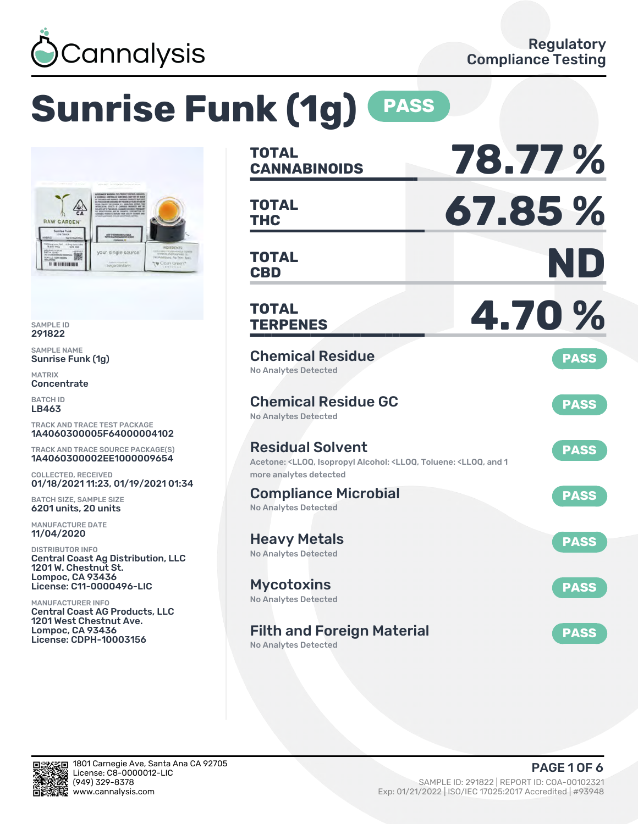

# **Sunrise Funk (1g) PASS**



SAMPLE ID 291822

SAMPLE NAME Sunrise Funk (1g)

MATRIX **Concentrate** 

BATCH ID LB463

TRACK AND TRACE TEST PACKAGE 1A4060300005F64000004102

TRACK AND TRACE SOURCE PACKAGE(S) 1A4060300002EE1000009654

COLLECTED, RECEIVED 01/18/2021 11:23, 01/19/2021 01:34

BATCH SIZE, SAMPLE SIZE 6201 units, 20 units

MANUFACTURE DATE 11/04/2020

DISTRIBUTOR INFO Central Coast Ag Distribution, LLC 1201 W. Chestnut St. Lompoc, CA 93436 License: C11-0000496-LIC

MANUFACTURER INFO Central Coast AG Products, LLC 1201 West Chestnut Ave. Lompoc, CA 93436 License: CDPH-10003156

| <b>TOTAL</b><br><b>CANNABINOIDS</b>                                                                                                     | 78.77 %     |
|-----------------------------------------------------------------------------------------------------------------------------------------|-------------|
| <b>TOTAL</b><br><b>THC</b>                                                                                                              | 67.85%      |
| TOTAL<br><b>CBD</b>                                                                                                                     | ND          |
| <b>TOTAL</b><br><b>TERPENES</b>                                                                                                         | 4.70 %      |
| <b>Chemical Residue</b><br><b>No Analytes Detected</b>                                                                                  | <b>PASS</b> |
| <b>Chemical Residue GC</b><br><b>No Analytes Detected</b>                                                                               | <b>PASS</b> |
| <b>Residual Solvent</b><br>Acetone: <lloq, 1<br="" <lloq,="" alcohol:="" and="" isopropyl="" toluene:="">more analytes detected</lloq,> | <b>PASS</b> |
| <b>Compliance Microbial</b><br><b>No Analytes Detected</b>                                                                              | <b>PASS</b> |
| <b>Heavy Metals</b><br><b>No Analytes Detected</b>                                                                                      | <b>PASS</b> |
| <b>Mycotoxins</b><br>No Analytes Detected                                                                                               | <b>PASS</b> |
| <b>Filth and Foreign Material</b><br><b>No Analytes Detected</b>                                                                        | <b>PASS</b> |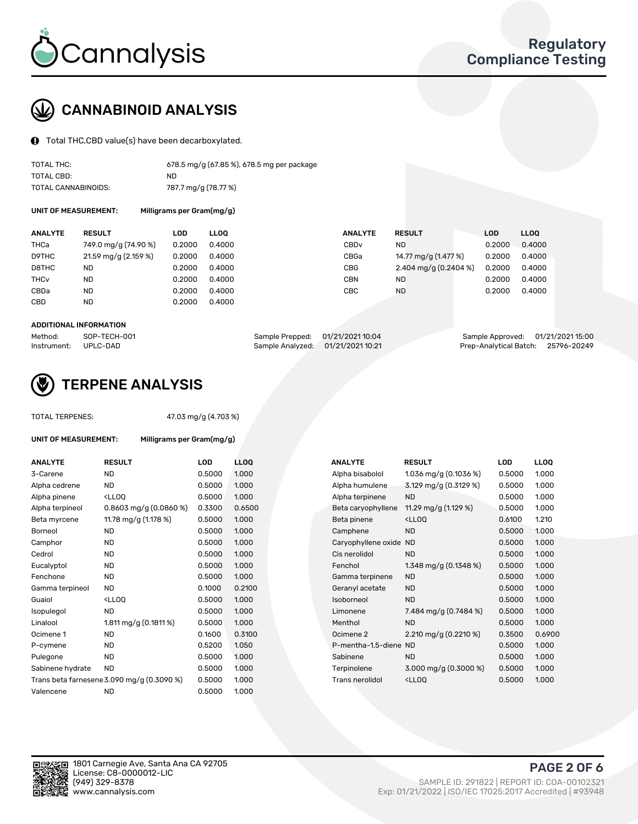

# CANNABINOID ANALYSIS

Total THC,CBD value(s) have been decarboxylated.

| TOTAL THC:          | 678.5 mg/g (67.85 %), 678.5 mg per package |
|---------------------|--------------------------------------------|
| TOTAL CBD:          | ND.                                        |
| TOTAL CANNABINOIDS: | 787.7 mg/g (78.77 %)                       |

UNIT OF MEASUREMENT: Milligrams per Gram(mg/g)

| <b>ANALYTE</b>         | <b>RESULT</b>        | LOD    | <b>LLOO</b> | <b>ANALYTE</b>   | <b>RESULT</b>         | LOD    | LLOO   |
|------------------------|----------------------|--------|-------------|------------------|-----------------------|--------|--------|
| THCa                   | 749.0 mg/g (74.90 %) | 0.2000 | 0.4000      | CBD <sub>v</sub> | ND.                   | 0.2000 | 0.4000 |
| D9THC                  | 21.59 mg/g (2.159 %) | 0.2000 | 0.4000      | CBGa             | 14.77 mg/g (1.477 %)  | 0.2000 | 0.4000 |
| D8THC                  | ND                   | 0.2000 | 0.4000      | <b>CBG</b>       | 2.404 mg/g (0.2404 %) | 0.2000 | 0.4000 |
| <b>THC<sub>v</sub></b> | ND                   | 0.2000 | 0.4000      | <b>CBN</b>       | ND.                   | 0.2000 | 0.4000 |
| CBDa                   | <b>ND</b>            | 0.2000 | 0.4000      | CBC              | <b>ND</b>             | 0.2000 | 0.4000 |
| <b>CBD</b>             | <b>ND</b>            | 0.2000 | 0.4000      |                  |                       |        |        |

#### ADDITIONAL INFORMATION

| Method:              | SOP-TECH-001 | Sample Prepped: 01/21/2021 10:04  | Sample Approved: 01/21/2021 15:00  |  |
|----------------------|--------------|-----------------------------------|------------------------------------|--|
| Instrument: UPLC-DAD |              | Sample Analyzed: 01/21/2021 10:21 | Prep-Analytical Batch: 25796-20249 |  |



# TERPENE ANALYSIS

UNIT OF MEASUREMENT: Milligrams per Gram(mg/g)

47.03 mg/g (4.703 %)

| <b>ANALYTE</b>   | <b>RESULT</b>                                                                                                                      | LOD    | LL <sub>OO</sub> |  | <b>ANALYTE</b>         | <b>RESULT</b>                                      | <b>LOD</b> | <b>LLOQ</b> |
|------------------|------------------------------------------------------------------------------------------------------------------------------------|--------|------------------|--|------------------------|----------------------------------------------------|------------|-------------|
| 3-Carene         | <b>ND</b>                                                                                                                          | 0.5000 | 1.000            |  | Alpha bisabolol        | 1.036 mg/g $(0.1036\%)$                            | 0.5000     | 1.000       |
| Alpha cedrene    | <b>ND</b>                                                                                                                          | 0.5000 | 1.000            |  | Alpha humulene         | 3.129 mg/g (0.3129 %)                              | 0.5000     | 1.000       |
| Alpha pinene     | <ll0q< td=""><td>0.5000</td><td>1.000</td><td></td><td>Alpha terpinene</td><td><b>ND</b></td><td>0.5000</td><td>1.000</td></ll0q<> | 0.5000 | 1.000            |  | Alpha terpinene        | <b>ND</b>                                          | 0.5000     | 1.000       |
| Alpha terpineol  | 0.8603 mg/g $(0.0860\%)$                                                                                                           | 0.3300 | 0.6500           |  | Beta caryophyllene     | 11.29 mg/g $(1.129\%)$                             | 0.5000     | 1.000       |
| Beta myrcene     | 11.78 mg/g (1.178 %)                                                                                                               | 0.5000 | 1.000            |  | Beta pinene            | <ll0q< td=""><td>0.6100</td><td>1.210</td></ll0q<> | 0.6100     | 1.210       |
| Borneol          | <b>ND</b>                                                                                                                          | 0.5000 | 1.000            |  | Camphene               | <b>ND</b>                                          | 0.5000     | 1.000       |
| Camphor          | <b>ND</b>                                                                                                                          | 0.5000 | 1.000            |  | Caryophyllene oxide ND |                                                    | 0.5000     | 1.000       |
| Cedrol           | <b>ND</b>                                                                                                                          | 0.5000 | 1.000            |  | Cis nerolidol          | <b>ND</b>                                          | 0.5000     | 1.000       |
| Eucalyptol       | <b>ND</b>                                                                                                                          | 0.5000 | 1.000            |  | Fenchol                | 1.348 mg/g $(0.1348\%)$                            | 0.5000     | 1.000       |
| Fenchone         | <b>ND</b>                                                                                                                          | 0.5000 | 1.000            |  | Gamma terpinene        | <b>ND</b>                                          | 0.5000     | 1.000       |
| Gamma terpineol  | <b>ND</b>                                                                                                                          | 0.1000 | 0.2100           |  | Geranyl acetate        | <b>ND</b>                                          | 0.5000     | 1.000       |
| Guaiol           | <ll0q< td=""><td>0.5000</td><td>1.000</td><td></td><td>Isoborneol</td><td><b>ND</b></td><td>0.5000</td><td>1.000</td></ll0q<>      | 0.5000 | 1.000            |  | Isoborneol             | <b>ND</b>                                          | 0.5000     | 1.000       |
| Isopulegol       | <b>ND</b>                                                                                                                          | 0.5000 | 1.000            |  | Limonene               | 7.484 mg/g $(0.7484\%)$                            | 0.5000     | 1.000       |
| Linalool         | 1.811 mg/g $(0.1811%)$                                                                                                             | 0.5000 | 1.000            |  | Menthol                | <b>ND</b>                                          | 0.5000     | 1.000       |
| Ocimene 1        | <b>ND</b>                                                                                                                          | 0.1600 | 0.3100           |  | Ocimene 2              | 2.210 mg/g (0.2210 %)                              | 0.3500     | 0.6900      |
| P-cymene         | <b>ND</b>                                                                                                                          | 0.5200 | 1.050            |  | P-mentha-1,5-diene ND  |                                                    | 0.5000     | 1.000       |
| Pulegone         | <b>ND</b>                                                                                                                          | 0.5000 | 1.000            |  | Sabinene               | <b>ND</b>                                          | 0.5000     | 1.000       |
| Sabinene hydrate | <b>ND</b>                                                                                                                          | 0.5000 | 1.000            |  | Terpinolene            | 3.000 mg/g (0.3000 %)                              | 0.5000     | 1.000       |
|                  | Trans beta farnesene 3.090 mg/g (0.3090 %)                                                                                         | 0.5000 | 1.000            |  | <b>Trans nerolidol</b> | <lloq< td=""><td>0.5000</td><td>1.000</td></lloq<> | 0.5000     | 1.000       |
| Valencene        | <b>ND</b>                                                                                                                          | 0.5000 | 1.000            |  |                        |                                                    |            |             |

| <b>NALYTE</b>        | <b>RESULT</b>                                      | LOD    | <b>LLOQ</b> |
|----------------------|----------------------------------------------------|--------|-------------|
| lpha bisabolol       | 1.036 mg/g $(0.1036\%)$                            | 0.5000 | 1.000       |
| lpha humulene        | 3.129 mg/g $(0.3129\%)$                            | 0.5000 | 1.000       |
| Ipha terpinene       | ND                                                 | 0.5000 | 1.000       |
| eta caryophyllene    | 11.29 mg/g (1.129 %)                               | 0.5000 | 1.000       |
| eta pinene           | $<$ LLOO                                           | 0.6100 | 1.210       |
| amphene              | <b>ND</b>                                          | 0.5000 | 1.000       |
| aryophyllene oxide   | <b>ND</b>                                          | 0.5000 | 1.000       |
| is nerolidol         | <b>ND</b>                                          | 0.5000 | 1.000       |
| enchol               | 1.348 mg/g (0.1348 %)                              | 0.5000 | 1.000       |
| amma terpinene       | <b>ND</b>                                          | 0.5000 | 1.000       |
| eranyl acetate       | <b>ND</b>                                          | 0.5000 | 1.000       |
| oborneol             | <b>ND</b>                                          | 0.5000 | 1.000       |
| monene               | 7.484 mg/g (0.7484 %)                              | 0.5000 | 1.000       |
| enthol               | <b>ND</b>                                          | 0.5000 | 1.000       |
| cimene 2             | 2.210 mg/g $(0.2210 \%)$                           | 0.3500 | 0.6900      |
| -mentha-1,5-diene ND |                                                    | 0.5000 | 1.000       |
| abinene              | <b>ND</b>                                          | 0.5000 | 1.000       |
| erpinolene           | 3.000 mg/g (0.3000 %)                              | 0.5000 | 1.000       |
| rans nerolidol       | <lloq< td=""><td>0.5000</td><td>1.000</td></lloq<> | 0.5000 | 1.000       |
|                      |                                                    |        |             |

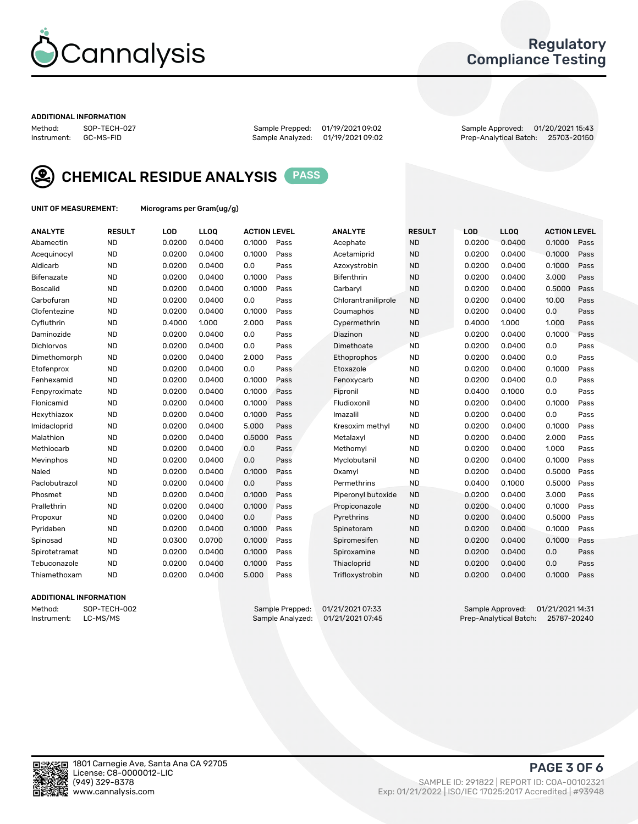

## Regulatory Compliance Testing

#### ADDITIONAL INFORMATION

Sample Analyzed: 01/19/2021 09:02

Method: SOP-TECH-027 Sample Prepped: 01/19/2021 09:02 Sample Approved: 01/20/2021 15:43



CHEMICAL RESIDUE ANALYSIS PASS

UNIT OF MEASUREMENT: Micrograms per Gram(ug/g)

| <b>ANALYTE</b>    | <b>RESULT</b> | LOD    | LL <sub>OO</sub> | <b>ACTION LEVEL</b> |      | <b>ANALYTE</b>      | <b>RESULT</b> | <b>LOD</b> | <b>LLOQ</b> | <b>ACTION LEVEL</b> |      |
|-------------------|---------------|--------|------------------|---------------------|------|---------------------|---------------|------------|-------------|---------------------|------|
| Abamectin         | <b>ND</b>     | 0.0200 | 0.0400           | 0.1000              | Pass | Acephate            | <b>ND</b>     | 0.0200     | 0.0400      | 0.1000              | Pass |
| Acequinocyl       | <b>ND</b>     | 0.0200 | 0.0400           | 0.1000              | Pass | Acetamiprid         | <b>ND</b>     | 0.0200     | 0.0400      | 0.1000              | Pass |
| Aldicarb          | <b>ND</b>     | 0.0200 | 0.0400           | 0.0                 | Pass | Azoxystrobin        | <b>ND</b>     | 0.0200     | 0.0400      | 0.1000              | Pass |
| Bifenazate        | <b>ND</b>     | 0.0200 | 0.0400           | 0.1000              | Pass | <b>Bifenthrin</b>   | <b>ND</b>     | 0.0200     | 0.0400      | 3.000               | Pass |
| <b>Boscalid</b>   | <b>ND</b>     | 0.0200 | 0.0400           | 0.1000              | Pass | Carbaryl            | <b>ND</b>     | 0.0200     | 0.0400      | 0.5000              | Pass |
| Carbofuran        | <b>ND</b>     | 0.0200 | 0.0400           | 0.0                 | Pass | Chlorantraniliprole | <b>ND</b>     | 0.0200     | 0.0400      | 10.00               | Pass |
| Clofentezine      | <b>ND</b>     | 0.0200 | 0.0400           | 0.1000              | Pass | Coumaphos           | <b>ND</b>     | 0.0200     | 0.0400      | 0.0                 | Pass |
| Cyfluthrin        | <b>ND</b>     | 0.4000 | 1.000            | 2.000               | Pass | Cypermethrin        | <b>ND</b>     | 0.4000     | 1.000       | 1.000               | Pass |
| Daminozide        | <b>ND</b>     | 0.0200 | 0.0400           | 0.0                 | Pass | Diazinon            | <b>ND</b>     | 0.0200     | 0.0400      | 0.1000              | Pass |
| <b>Dichlorvos</b> | <b>ND</b>     | 0.0200 | 0.0400           | 0.0                 | Pass | Dimethoate          | <b>ND</b>     | 0.0200     | 0.0400      | 0.0                 | Pass |
| Dimethomorph      | <b>ND</b>     | 0.0200 | 0.0400           | 2.000               | Pass | Ethoprophos         | <b>ND</b>     | 0.0200     | 0.0400      | 0.0                 | Pass |
| Etofenprox        | <b>ND</b>     | 0.0200 | 0.0400           | 0.0                 | Pass | Etoxazole           | <b>ND</b>     | 0.0200     | 0.0400      | 0.1000              | Pass |
| Fenhexamid        | <b>ND</b>     | 0.0200 | 0.0400           | 0.1000              | Pass | Fenoxycarb          | <b>ND</b>     | 0.0200     | 0.0400      | 0.0                 | Pass |
| Fenpyroximate     | <b>ND</b>     | 0.0200 | 0.0400           | 0.1000              | Pass | Fipronil            | <b>ND</b>     | 0.0400     | 0.1000      | 0.0                 | Pass |
| Flonicamid        | <b>ND</b>     | 0.0200 | 0.0400           | 0.1000              | Pass | Fludioxonil         | <b>ND</b>     | 0.0200     | 0.0400      | 0.1000              | Pass |
| Hexythiazox       | <b>ND</b>     | 0.0200 | 0.0400           | 0.1000              | Pass | Imazalil            | <b>ND</b>     | 0.0200     | 0.0400      | 0.0                 | Pass |
| Imidacloprid      | <b>ND</b>     | 0.0200 | 0.0400           | 5.000               | Pass | Kresoxim methyl     | <b>ND</b>     | 0.0200     | 0.0400      | 0.1000              | Pass |
| Malathion         | <b>ND</b>     | 0.0200 | 0.0400           | 0.5000              | Pass | Metalaxyl           | <b>ND</b>     | 0.0200     | 0.0400      | 2.000               | Pass |
| Methiocarb        | <b>ND</b>     | 0.0200 | 0.0400           | 0.0                 | Pass | Methomyl            | <b>ND</b>     | 0.0200     | 0.0400      | 1.000               | Pass |
| Mevinphos         | <b>ND</b>     | 0.0200 | 0.0400           | 0.0                 | Pass | Myclobutanil        | <b>ND</b>     | 0.0200     | 0.0400      | 0.1000              | Pass |
| Naled             | <b>ND</b>     | 0.0200 | 0.0400           | 0.1000              | Pass | Oxamyl              | <b>ND</b>     | 0.0200     | 0.0400      | 0.5000              | Pass |
| Paclobutrazol     | <b>ND</b>     | 0.0200 | 0.0400           | 0.0                 | Pass | Permethrins         | <b>ND</b>     | 0.0400     | 0.1000      | 0.5000              | Pass |
| Phosmet           | <b>ND</b>     | 0.0200 | 0.0400           | 0.1000              | Pass | Piperonyl butoxide  | <b>ND</b>     | 0.0200     | 0.0400      | 3.000               | Pass |
| Prallethrin       | <b>ND</b>     | 0.0200 | 0.0400           | 0.1000              | Pass | Propiconazole       | <b>ND</b>     | 0.0200     | 0.0400      | 0.1000              | Pass |
| Propoxur          | <b>ND</b>     | 0.0200 | 0.0400           | 0.0                 | Pass | Pyrethrins          | <b>ND</b>     | 0.0200     | 0.0400      | 0.5000              | Pass |
| Pyridaben         | <b>ND</b>     | 0.0200 | 0.0400           | 0.1000              | Pass | Spinetoram          | <b>ND</b>     | 0.0200     | 0.0400      | 0.1000              | Pass |
| Spinosad          | <b>ND</b>     | 0.0300 | 0.0700           | 0.1000              | Pass | Spiromesifen        | <b>ND</b>     | 0.0200     | 0.0400      | 0.1000              | Pass |
| Spirotetramat     | <b>ND</b>     | 0.0200 | 0.0400           | 0.1000              | Pass | Spiroxamine         | <b>ND</b>     | 0.0200     | 0.0400      | 0.0                 | Pass |
| Tebuconazole      | <b>ND</b>     | 0.0200 | 0.0400           | 0.1000              | Pass | Thiacloprid         | <b>ND</b>     | 0.0200     | 0.0400      | 0.0                 | Pass |
| Thiamethoxam      | <b>ND</b>     | 0.0200 | 0.0400           | 5.000               | Pass | Trifloxystrobin     | <b>ND</b>     | 0.0200     | 0.0400      | 0.1000              | Pass |

### ADDITIONAL INFORMATION

Method: SOP-TECH-002 Sample Prepped: 01/21/2021 07:33 Sample Approved: 01/21/2021 14:31<br>Instrument: LC-MS/MS Sample Analyzed: 01/21/2021 07:45 Prep-Analytical Batch: 25787-20240 Prep-Analytical Batch: 25787-20240

PAGE 3 OF 6

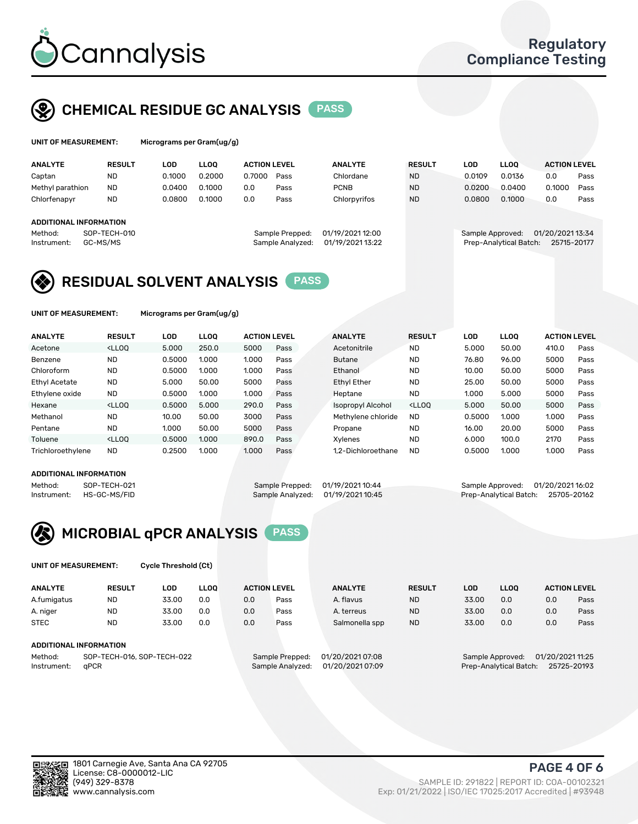

## CHEMICAL RESIDUE GC ANALYSIS PASS

| UNIT OF MEASUREMENT: | Micro |
|----------------------|-------|
|----------------------|-------|

grams per Gram(ug/g)

| <b>ANALYTE</b>         | <b>RESULT</b> | LOD    | <b>LLOO</b> | <b>ACTION LEVEL</b> |                  | <b>ANALYTE</b>   | <b>RESULT</b> | <b>LOD</b> |        | <b>LLOO</b>            | <b>ACTION LEVEL</b> |      |
|------------------------|---------------|--------|-------------|---------------------|------------------|------------------|---------------|------------|--------|------------------------|---------------------|------|
| Captan                 | <b>ND</b>     | 0.1000 | 0.2000      | 0.7000              | Pass             | Chlordane        | <b>ND</b>     |            | 0.0109 | 0.0136                 | 0.0                 | Pass |
| Methyl parathion       | <b>ND</b>     | 0.0400 | 0.1000      | 0.0                 | Pass             | <b>PCNB</b>      | <b>ND</b>     |            | 0.0200 | 0.0400                 | 0.1000              | Pass |
| Chlorfenapyr           | <b>ND</b>     | 0.0800 | 0.1000      | 0.0                 | Pass             | Chlorpyrifos     | <b>ND</b>     |            | 0.0800 | 0.1000                 | 0.0                 | Pass |
|                        |               |        |             |                     |                  |                  |               |            |        |                        |                     |      |
| ADDITIONAL INFORMATION |               |        |             |                     |                  |                  |               |            |        |                        |                     |      |
| Method:                | SOP-TECH-010  |        |             |                     | Sample Prepped:  | 01/19/2021 12:00 |               |            |        | Sample Approved:       | 01/20/2021 13:34    |      |
| Instrument:            | GC-MS/MS      |        |             |                     | Sample Analyzed: | 01/19/2021 13:22 |               |            |        | Prep-Analytical Batch: | 25715-20177         |      |

## RESIDUAL SOLVENT ANALYSIS PASS

UNIT OF MEASUREMENT: Micrograms per Gram(ug/g)

| <b>ANALYTE</b>       | <b>RESULT</b>                                                                                                                                                                                      | LOD    | <b>LLOO</b> | <b>ACTION LEVEL</b> |      | <b>ANALYTE</b>           | <b>RESULT</b>                                                               | LOD    | LLOO  | <b>ACTION LEVEL</b> |      |
|----------------------|----------------------------------------------------------------------------------------------------------------------------------------------------------------------------------------------------|--------|-------------|---------------------|------|--------------------------|-----------------------------------------------------------------------------|--------|-------|---------------------|------|
| Acetone              | <lloo< td=""><td>5.000</td><td>250.0</td><td>5000</td><td>Pass</td><td>Acetonitrile</td><td><b>ND</b></td><td>5.000</td><td>50.00</td><td>410.0</td><td>Pass</td></lloo<>                          | 5.000  | 250.0       | 5000                | Pass | Acetonitrile             | <b>ND</b>                                                                   | 5.000  | 50.00 | 410.0               | Pass |
| Benzene              | <b>ND</b>                                                                                                                                                                                          | 0.5000 | 1.000       | 1.000               | Pass | <b>Butane</b>            | <b>ND</b>                                                                   | 76.80  | 96.00 | 5000                | Pass |
| Chloroform           | <b>ND</b>                                                                                                                                                                                          | 0.5000 | 1.000       | 1.000               | Pass | Ethanol                  | <b>ND</b>                                                                   | 10.00  | 50.00 | 5000                | Pass |
| <b>Ethyl Acetate</b> | <b>ND</b>                                                                                                                                                                                          | 5.000  | 50.00       | 5000                | Pass | <b>Ethyl Ether</b>       | <b>ND</b>                                                                   | 25.00  | 50.00 | 5000                | Pass |
| Ethylene oxide       | <b>ND</b>                                                                                                                                                                                          | 0.5000 | 1.000       | 1.000               | Pass | Heptane                  | <b>ND</b>                                                                   | 1.000  | 5.000 | 5000                | Pass |
| Hexane               | <lloo< td=""><td>0.5000</td><td>5.000</td><td>290.0</td><td>Pass</td><td><b>Isopropyl Alcohol</b></td><td><lloo< td=""><td>5.000</td><td>50.00</td><td>5000</td><td>Pass</td></lloo<></td></lloo<> | 0.5000 | 5.000       | 290.0               | Pass | <b>Isopropyl Alcohol</b> | <lloo< td=""><td>5.000</td><td>50.00</td><td>5000</td><td>Pass</td></lloo<> | 5.000  | 50.00 | 5000                | Pass |
| Methanol             | <b>ND</b>                                                                                                                                                                                          | 10.00  | 50.00       | 3000                | Pass | Methylene chloride       | <b>ND</b>                                                                   | 0.5000 | 1.000 | 1.000               | Pass |
| Pentane              | <b>ND</b>                                                                                                                                                                                          | 1.000  | 50.00       | 5000                | Pass | Propane                  | <b>ND</b>                                                                   | 16.00  | 20.00 | 5000                | Pass |
| Toluene              | <lloo< td=""><td>0.5000</td><td>1.000</td><td>890.0</td><td>Pass</td><td>Xvlenes</td><td><b>ND</b></td><td>6.000</td><td>100.0</td><td>2170</td><td>Pass</td></lloo<>                              | 0.5000 | 1.000       | 890.0               | Pass | Xvlenes                  | <b>ND</b>                                                                   | 6.000  | 100.0 | 2170                | Pass |
| Trichloroethylene    | <b>ND</b>                                                                                                                                                                                          | 0.2500 | 1.000       | 1.000               | Pass | 1.2-Dichloroethane       | <b>ND</b>                                                                   | 0.5000 | 1.000 | 1.000               | Pass |

#### ADDITIONAL INFORMATION

Method: SOP-TECH-021 Sample Prepped: 01/19/2021 10:44 Sample Approved: 01/20/2021 16:02<br>Sample Analyzed: 01/19/2021 10:45 Prep-Analytical Batch: 25705-20162

Prep-Analytical Batch: 25705-20162



UNIT OF MEASUREMENT: Cycle Threshold (Ct)

| <b>ANALYTE</b> | <b>RESULT</b>              | LOD   | <b>LLOO</b> | <b>ACTION LEVEL</b> |                 | <b>ANALYTE</b>   | <b>RESULT</b> | LOD   | <b>LLOO</b>      |                  | <b>ACTION LEVEL</b> |
|----------------|----------------------------|-------|-------------|---------------------|-----------------|------------------|---------------|-------|------------------|------------------|---------------------|
| A.fumigatus    | <b>ND</b>                  | 33.00 | 0.0         | 0.0                 | Pass            | A. flavus        | <b>ND</b>     | 33.00 | 0.0              | 0.0              | Pass                |
| A. niger       | <b>ND</b>                  | 33.00 | 0.0         | 0.0                 | Pass            | A. terreus       | <b>ND</b>     | 33.00 | 0.0              | 0.0              | Pass                |
| <b>STEC</b>    | <b>ND</b>                  | 33.00 | 0.0         | 0.0                 | Pass            | Salmonella spp   | <b>ND</b>     | 33.00 | 0.0              | 0.0              | Pass                |
|                | ADDITIONAL INFORMATION     |       |             |                     |                 |                  |               |       |                  |                  |                     |
| Method:        | SOP-TECH-016, SOP-TECH-022 |       |             |                     | Sample Prepped: | 01/20/2021 07:08 |               |       | Sample Approved: | 01/20/2021 11:25 |                     |

Instrument: qPCR Sample Analyzed: 01/20/2021 07:09 Prep-Analytical Batch: 25725-20193

PAGE 4 OF 6

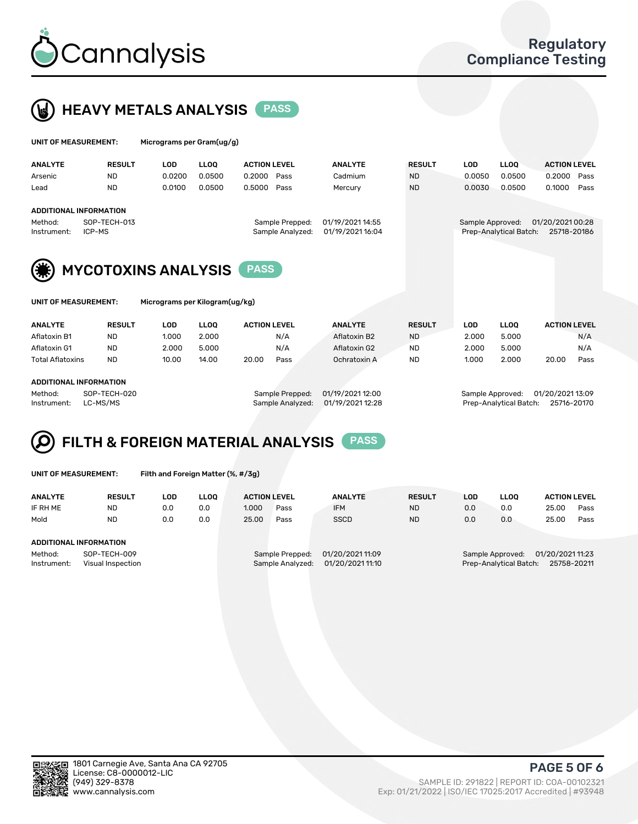



| UNIT OF MEASUREMENT:                                   | Micrograms per Gram(ug/g)  |                     |                  |               |            |                                      |                     |  |  |  |
|--------------------------------------------------------|----------------------------|---------------------|------------------|---------------|------------|--------------------------------------|---------------------|--|--|--|
| <b>ANALYTE</b><br><b>RESULT</b>                        | <b>LLOO</b><br><b>LOD</b>  | <b>ACTION LEVEL</b> | <b>ANALYTE</b>   | <b>RESULT</b> | <b>LOD</b> | <b>LLOO</b>                          | <b>ACTION LEVEL</b> |  |  |  |
| <b>ND</b><br>Arsenic                                   | 0.0200<br>0.0500           | 0.2000<br>Pass      | Cadmium          | <b>ND</b>     | 0.0050     | 0.0500                               | 0.2000<br>Pass      |  |  |  |
| <b>ND</b><br>Lead                                      | 0.0100<br>0.0500           | 0.5000<br>Pass      | Mercury          | <b>ND</b>     | 0.0030     | 0.0500                               | 0.1000<br>Pass      |  |  |  |
| <b>ADDITIONAL INFORMATION</b>                          |                            |                     |                  |               |            |                                      |                     |  |  |  |
| SOP-TECH-013<br>Method:                                |                            | Sample Prepped:     | 01/19/2021 14:55 |               |            | 01/20/2021 00:28<br>Sample Approved: |                     |  |  |  |
| ICP-MS<br>Instrument:                                  |                            | Sample Analyzed:    | 01/19/2021 16:04 |               |            | Prep-Analytical Batch:               | 25718-20186         |  |  |  |
|                                                        | <b>MYCOTOXINS ANALYSIS</b> | <b>PASS</b>         |                  |               |            |                                      |                     |  |  |  |
| Micrograms per Kilogram(ug/kg)<br>UNIT OF MEASUREMENT: |                            |                     |                  |               |            |                                      |                     |  |  |  |

| <b>ANALYTE</b>         | <b>RESULT</b> | LOD   | <b>LLOO</b> | <b>ACTION LEVEL</b> |      | <b>ANALYTE</b> | <b>RESULT</b> | LOD   | <b>LLOO</b> | <b>ACTION LEVEL</b> |      |  |
|------------------------|---------------|-------|-------------|---------------------|------|----------------|---------------|-------|-------------|---------------------|------|--|
| Aflatoxin B1           | <b>ND</b>     | 1.000 | 2.000       |                     | N/A  | Aflatoxin B2   | <b>ND</b>     | 2.000 | 5.000       |                     | N/A  |  |
| Aflatoxin G1           | <b>ND</b>     | 2.000 | 5.000       |                     | N/A  | Aflatoxin G2   | <b>ND</b>     | 2.000 | 5.000       |                     | N/A  |  |
| Total Aflatoxins       | <b>ND</b>     | 10.00 | 14.00       | 20.00               | Pass | Ochratoxin A   | <b>ND</b>     | 1.000 | 2.000       | 20.00               | Pass |  |
|                        |               |       |             |                     |      |                |               |       |             |                     |      |  |
| ADDITIONAL INFORMATION |               |       |             |                     |      |                |               |       |             |                     |      |  |

#### ADDITIONAL INFORMATION

Method: SOP-TECH-020 Sample Prepped: 01/19/2021 12:00 Sample Approved: 01/20/2021 13:09 Instrument: LC-MS/MS Sample Analyzed: 01/19/2021 12:28 Prep-Analytical Batch: 25716-20170

#### FILTH & FOREIGN MATERIAL ANALYSIS PASS Q

UNIT OF MEASUREMENT: Filth and Foreign Matter (%, #/3g)

| <b>ANALYTE</b>                                              | <b>RESULT</b> | LOD | <b>LLOO</b> | <b>ACTION LEVEL</b>                                                         |      | <b>ANALYTE</b> | <b>RESULT</b>                                                                 | LOD |     | <b>ACTION LEVEL</b> |      |
|-------------------------------------------------------------|---------------|-----|-------------|-----------------------------------------------------------------------------|------|----------------|-------------------------------------------------------------------------------|-----|-----|---------------------|------|
| IF RH ME                                                    | <b>ND</b>     | 0.0 | 0.0         | 1.000                                                                       | Pass | <b>IFM</b>     | <b>ND</b>                                                                     | 0.0 | 0.0 | 25.00               | Pass |
| Mold                                                        | <b>ND</b>     | 0.0 | 0.0         | 25.00                                                                       | Pass | <b>SSCD</b>    | <b>ND</b>                                                                     | 0.0 | 0.0 | 25.00               | Pass |
| ADDITIONAL INFORMATION                                      |               |     |             |                                                                             |      |                |                                                                               |     |     |                     |      |
| Method:<br>SOP-TECH-009<br>Instrument:<br>Visual Inspection |               |     |             | 01/20/2021 11:09<br>Sample Prepped:<br>01/20/2021 11:10<br>Sample Analyzed: |      |                | 01/20/2021 11:23<br>Sample Approved:<br>Prep-Analytical Batch:<br>25758-20211 |     |     |                     |      |



Exp: 01/21/2022 | ISO/IEC 17025:2017 Accredited | #93948